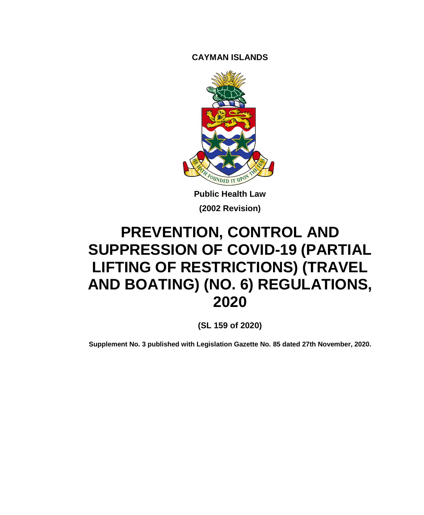**CAYMAN ISLANDS**



**Public Health Law (2002 Revision)**

# **PREVENTION, CONTROL AND SUPPRESSION OF COVID-19 (PARTIAL LIFTING OF RESTRICTIONS) (TRAVEL AND BOATING) (NO. 6) REGULATIONS, 2020**

**(SL 159 of 2020)**

**Supplement No. 3 published with Legislation Gazette No. 85 dated 27th November, 2020.**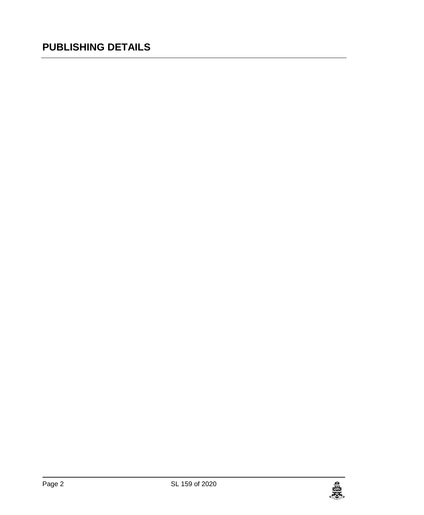## **PUBLISHING DETAILS**

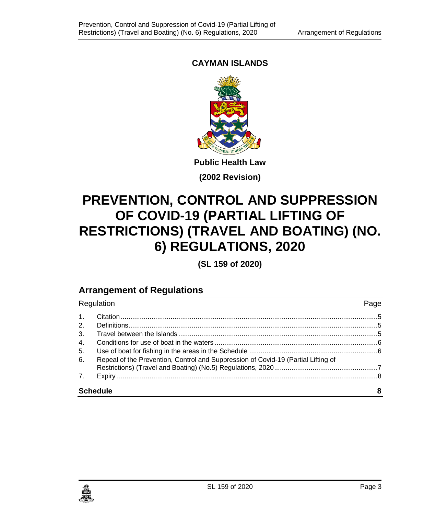#### **CAYMAN ISLANDS**



**(2002 Revision)**

## **PREVENTION, CONTROL AND SUPPRESSION OF COVID-19 (PARTIAL LIFTING OF RESTRICTIONS) (TRAVEL AND BOATING) (NO. 6) REGULATIONS, 2020**

**(SL 159 of 2020)**

### **Arrangement of Regulations**

| Regulation      |                                                                                   | Page |
|-----------------|-----------------------------------------------------------------------------------|------|
| 1 <sub>1</sub>  |                                                                                   |      |
| 2.              |                                                                                   |      |
| 3 <sub>1</sub>  |                                                                                   |      |
| 4.              |                                                                                   |      |
| 5.              |                                                                                   |      |
| 6.              | Repeal of the Prevention, Control and Suppression of Covid-19 (Partial Lifting of |      |
| 7 <sub>1</sub>  |                                                                                   |      |
| <b>Schedule</b> |                                                                                   | 8    |

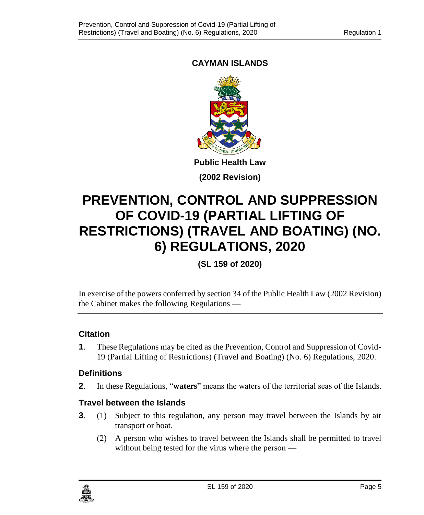#### **CAYMAN ISLANDS**



**(2002 Revision)**

## **PREVENTION, CONTROL AND SUPPRESSION OF COVID-19 (PARTIAL LIFTING OF RESTRICTIONS) (TRAVEL AND BOATING) (NO. 6) REGULATIONS, 2020**

**(SL 159 of 2020)**

In exercise of the powers conferred by section 34 of the Public Health Law (2002 Revision) the Cabinet makes the following Regulations —

#### <span id="page-4-0"></span>**1. Citation**

**1**. These Regulations may be cited as the Prevention, Control and Suppression of Covid-19 (Partial Lifting of Restrictions) (Travel and Boating) (No. 6) Regulations, 2020.

#### <span id="page-4-1"></span>**2. Definitions**

**2**. In these Regulations, "**waters**" means the waters of the territorial seas of the Islands.

#### <span id="page-4-2"></span>**3. Travel between the Islands**

- **3**. (1) Subject to this regulation, any person may travel between the Islands by air transport or boat.
	- (2) A person who wishes to travel between the Islands shall be permitted to travel without being tested for the virus where the person —

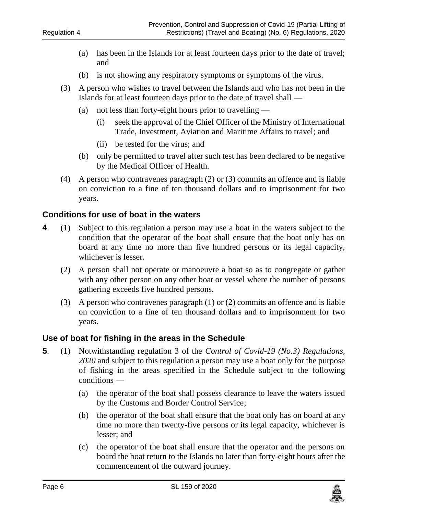- (a) has been in the Islands for at least fourteen days prior to the date of travel; and
- (b) is not showing any respiratory symptoms or symptoms of the virus.
- (3) A person who wishes to travel between the Islands and who has not been in the Islands for at least fourteen days prior to the date of travel shall —
	- (a) not less than forty-eight hours prior to travelling
		- (i) seek the approval of the Chief Officer of the Ministry of International Trade, Investment, Aviation and Maritime Affairs to travel; and
		- (ii) be tested for the virus; and
	- (b) only be permitted to travel after such test has been declared to be negative by the Medical Officer of Health.
- (4) A person who contravenes paragraph (2) or (3) commits an offence and is liable on conviction to a fine of ten thousand dollars and to imprisonment for two years.

#### <span id="page-5-0"></span>**4. Conditions for use of boat in the waters**

- **4**. (1) Subject to this regulation a person may use a boat in the waters subject to the condition that the operator of the boat shall ensure that the boat only has on board at any time no more than five hundred persons or its legal capacity, whichever is lesser.
	- (2) A person shall not operate or manoeuvre a boat so as to congregate or gather with any other person on any other boat or vessel where the number of persons gathering exceeds five hundred persons.
	- (3) A person who contravenes paragraph (1) or (2) commits an offence and is liable on conviction to a fine of ten thousand dollars and to imprisonment for two years.

#### <span id="page-5-1"></span>**5. Use of boat for fishing in the areas in the Schedule**

- **5**. (1) Notwithstanding regulation 3 of the *Control of Covid-19 (No.3) Regulations, 2020* and subject to this regulation a person may use a boat only for the purpose of fishing in the areas specified in the Schedule subject to the following conditions —
	- (a) the operator of the boat shall possess clearance to leave the waters issued by the Customs and Border Control Service;
	- (b) the operator of the boat shall ensure that the boat only has on board at any time no more than twenty-five persons or its legal capacity, whichever is lesser; and
	- (c) the operator of the boat shall ensure that the operator and the persons on board the boat return to the Islands no later than forty-eight hours after the commencement of the outward journey.

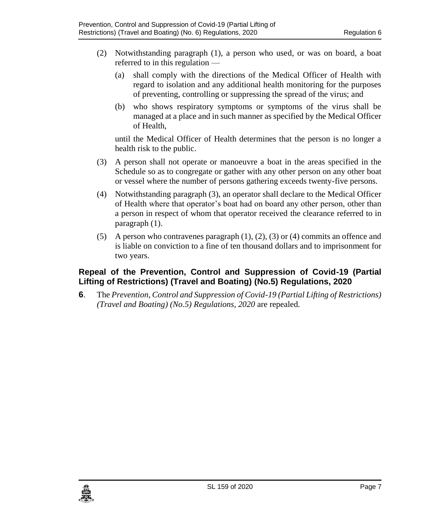- (2) Notwithstanding paragraph (1), a person who used, or was on board, a boat referred to in this regulation —
	- (a) shall comply with the directions of the Medical Officer of Health with regard to isolation and any additional health monitoring for the purposes of preventing, controlling or suppressing the spread of the virus; and
	- (b) who shows respiratory symptoms or symptoms of the virus shall be managed at a place and in such manner as specified by the Medical Officer of Health,

until the Medical Officer of Health determines that the person is no longer a health risk to the public.

- (3) A person shall not operate or manoeuvre a boat in the areas specified in the Schedule so as to congregate or gather with any other person on any other boat or vessel where the number of persons gathering exceeds twenty-five persons.
- (4) Notwithstanding paragraph (3), an operator shall declare to the Medical Officer of Health where that operator's boat had on board any other person, other than a person in respect of whom that operator received the clearance referred to in paragraph (1).
- (5) A person who contravenes paragraph  $(1)$ ,  $(2)$ ,  $(3)$  or  $(4)$  commits an offence and is liable on conviction to a fine of ten thousand dollars and to imprisonment for two years.

#### <span id="page-6-0"></span>**6. Repeal of the Prevention, Control and Suppression of Covid-19 (Partial Lifting of Restrictions) (Travel and Boating) (No.5) Regulations, 2020**

**6**. The *Prevention, Control and Suppression of Covid-19 (Partial Lifting of Restrictions) (Travel and Boating) (No.5) Regulations, 2020* are repealed*.*